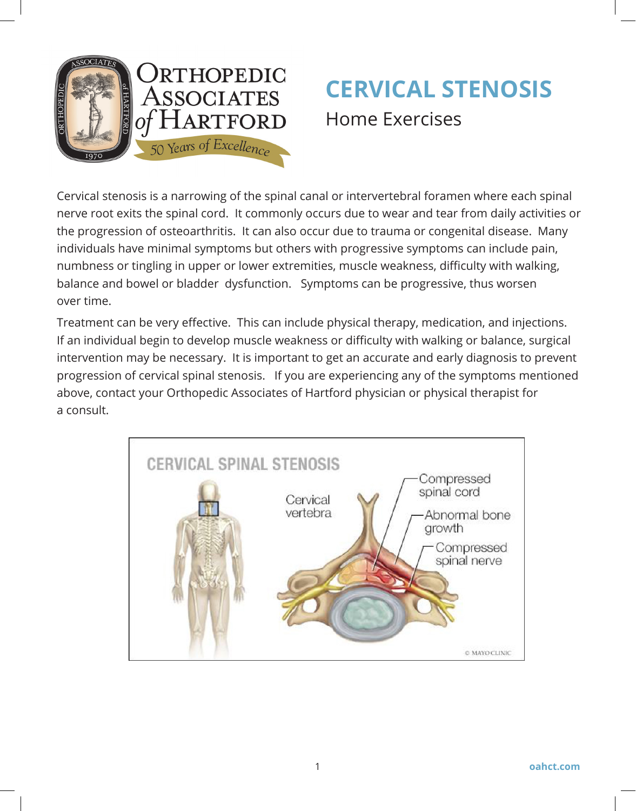

# **CERVICAL STENOSIS**  Home Exercises

Cervical stenosis is a narrowing of the spinal canal or intervertebral foramen where each spinal nerve root exits the spinal cord. It commonly occurs due to wear and tear from daily activities or the progression of osteoarthritis. It can also occur due to trauma or congenital disease. Many individuals have minimal symptoms but others with progressive symptoms can include pain, numbness or tingling in upper or lower extremities, muscle weakness, difficulty with walking, balance and bowel or bladder dysfunction. Symptoms can be progressive, thus worsen over time.

Treatment can be very effective. This can include physical therapy, medication, and injections. If an individual begin to develop muscle weakness or difficulty with walking or balance, surgical intervention may be necessary. It is important to get an accurate and early diagnosis to prevent progression of cervical spinal stenosis. If you are experiencing any of the symptoms mentioned above, contact your Orthopedic Associates of Hartford physician or physical therapist for a consult.

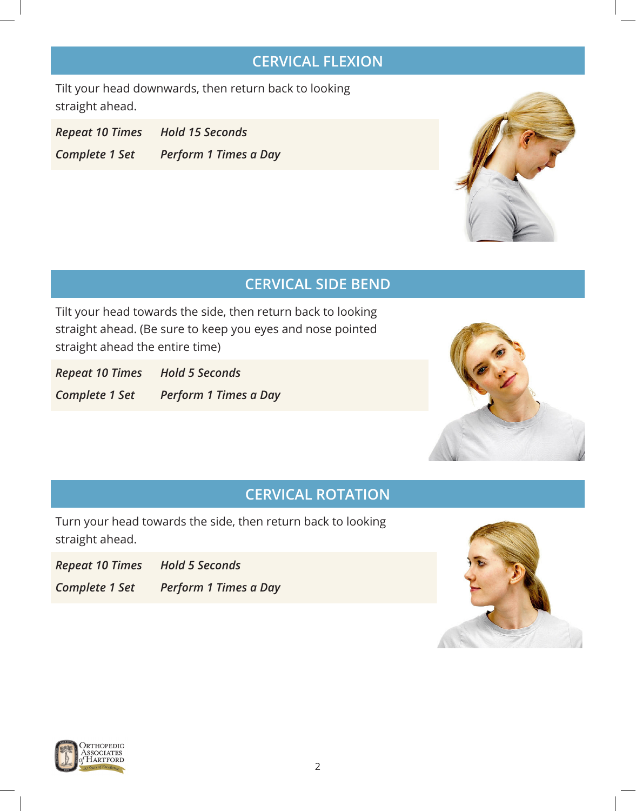## **CERVICAL FLEXION**

Tilt your head downwards, then return back to looking straight ahead.

*Repeat 10 Times Hold 15 Seconds Complete 1 Set Perform 1 Times a Day*



## **CERVICAL SIDE BEND**

Tilt your head towards the side, then return back to looking straight ahead. (Be sure to keep you eyes and nose pointed straight ahead the entire time)

*Repeat 10 Times Hold 5 Seconds Complete 1 Set Perform 1 Times a Day*



#### **CERVICAL ROTATION**

Turn your head towards the side, then return back to looking straight ahead.

*Repeat 10 Times Hold 5 Seconds*

*Complete 1 Set Perform 1 Times a Day*



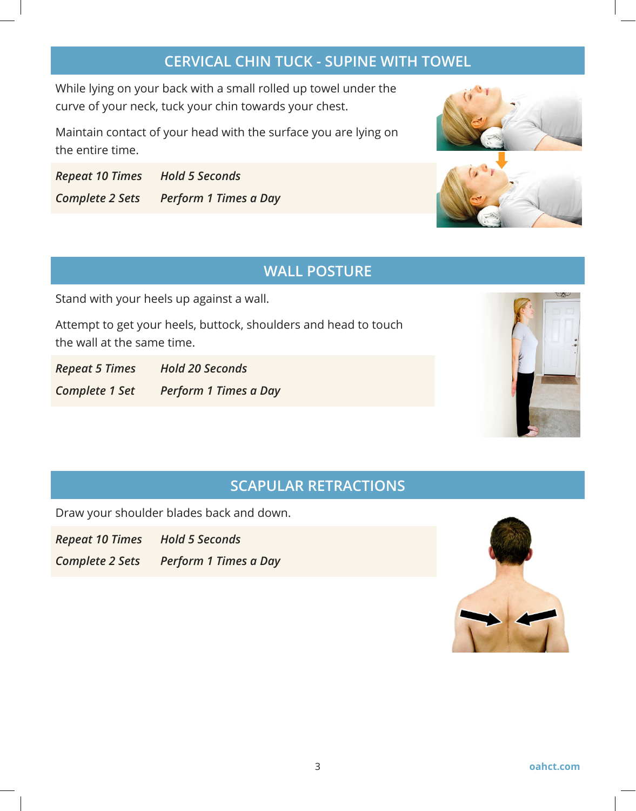### **CERVICAL CHIN TUCK - SUPINE WITH TOWEL**

While lying on your back with a small rolled up towel under the curve of your neck, tuck your chin towards your chest.

Maintain contact of your head with the surface you are lying on the entire time.

*Repeat 10 Times Hold 5 Seconds Complete 2 Sets Perform 1 Times a Day*





#### **WALL POSTURE**

Stand with your heels up against a wall.

Attempt to get your heels, buttock, shoulders and head to touch the wall at the same time.

*Repeat 5 Times Hold 20 Seconds Complete 1 Set Perform 1 Times a Day*



# **SCAPULAR RETRACTIONS**

Draw your shoulder blades back and down.

*Repeat 10 Times Hold 5 Seconds*

*Complete 2 Sets Perform 1 Times a Day*